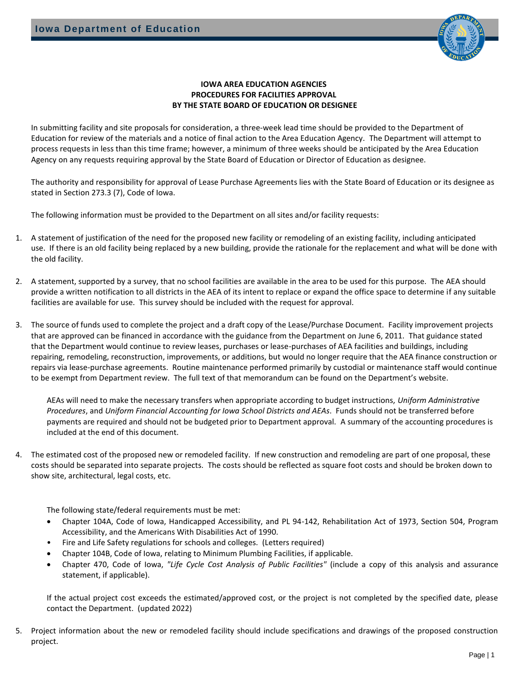

### **IOWA AREA EDUCATION AGENCIES PROCEDURES FOR FACILITIES APPROVAL BY THE STATE BOARD OF EDUCATION OR DESIGNEE**

In submitting facility and site proposals for consideration, a three-week lead time should be provided to the Department of Education for review of the materials and a notice of final action to the Area Education Agency. The Department will attempt to process requests in less than this time frame; however, a minimum of three weeks should be anticipated by the Area Education Agency on any requests requiring approval by the State Board of Education or Director of Education as designee.

The authority and responsibility for approval of Lease Purchase Agreements lies with the State Board of Education or its designee as stated in Section 273.3 (7), Code of Iowa.

The following information must be provided to the Department on all sites and/or facility requests:

- 1. A statement of justification of the need for the proposed new facility or remodeling of an existing facility, including anticipated use. If there is an old facility being replaced by a new building, provide the rationale for the replacement and what will be done with the old facility.
- 2. A statement, supported by a survey, that no school facilities are available in the area to be used for this purpose. The AEA should provide a written notification to all districts in the AEA of its intent to replace or expand the office space to determine if any suitable facilities are available for use. This survey should be included with the request for approval.
- 3. The source of funds used to complete the project and a draft copy of the Lease/Purchase Document. Facility improvement projects that are approved can be financed in accordance with the guidance from the Department on June 6, 2011. That guidance stated that the Department would continue to review leases, purchases or lease-purchases of AEA facilities and buildings, including repairing, remodeling, reconstruction, improvements, or additions, but would no longer require that the AEA finance construction or repairs via lease-purchase agreements. Routine maintenance performed primarily by custodial or maintenance staff would continue to be exempt from Department review. The full text of that memorandum can be found on the Department's website.

AEAs will need to make the necessary transfers when appropriate according to budget instructions, *Uniform Administrative Procedures*, and *Uniform Financial Accounting for Iowa School Districts and AEAs*. Funds should not be transferred before payments are required and should not be budgeted prior to Department approval. A summary of the accounting procedures is included at the end of this document.

4. The estimated cost of the proposed new or remodeled facility. If new construction and remodeling are part of one proposal, these costs should be separated into separate projects. The costs should be reflected as square foot costs and should be broken down to show site, architectural, legal costs, etc.

The following state/federal requirements must be met:

- Chapter 104A, Code of Iowa, Handicapped Accessibility, and PL 94-142, Rehabilitation Act of 1973, Section 504, Program Accessibility, and the Americans With Disabilities Act of 1990.
- Fire and Life Safety regulations for schools and colleges. (Letters required)
- Chapter 104B, Code of Iowa, relating to Minimum Plumbing Facilities, if applicable.
- Chapter 470, Code of Iowa, *"Life Cycle Cost Analysis of Public Facilities"* (include a copy of this analysis and assurance statement, if applicable).

If the actual project cost exceeds the estimated/approved cost, or the project is not completed by the specified date, please contact the Department. (updated 2022)

5. Project information about the new or remodeled facility should include specifications and drawings of the proposed construction project.